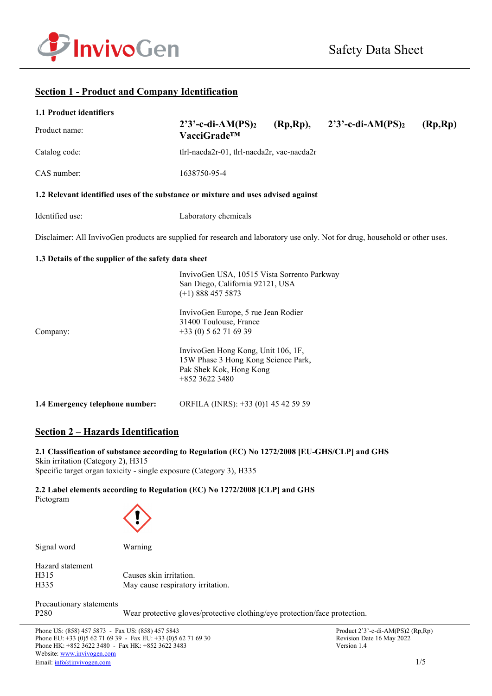

# **Section 1 - Product and Company Identification**

| 1.1 Product identifiers                                                                                                      |                                                                                                                          |  |                                           |         |  |  |
|------------------------------------------------------------------------------------------------------------------------------|--------------------------------------------------------------------------------------------------------------------------|--|-------------------------------------------|---------|--|--|
| Product name:                                                                                                                | $2'3'$ -c-di-AM(PS) <sub>2</sub><br>VacciGrade <sup>™</sup>                                                              |  | $(Rp, Rp),$ 2'3'-c-di-AM(PS) <sub>2</sub> | (Rp,Rp) |  |  |
| Catalog code:                                                                                                                | tlrl-nacda2r-01, tlrl-nacda2r, vac-nacda2r                                                                               |  |                                           |         |  |  |
| CAS number:                                                                                                                  | 1638750-95-4                                                                                                             |  |                                           |         |  |  |
| 1.2 Relevant identified uses of the substance or mixture and uses advised against                                            |                                                                                                                          |  |                                           |         |  |  |
| Identified use:                                                                                                              | Laboratory chemicals                                                                                                     |  |                                           |         |  |  |
| Disclaimer: All InvivoGen products are supplied for research and laboratory use only. Not for drug, household or other uses. |                                                                                                                          |  |                                           |         |  |  |
| 1.3 Details of the supplier of the safety data sheet                                                                         |                                                                                                                          |  |                                           |         |  |  |
|                                                                                                                              | InvivoGen USA, 10515 Vista Sorrento Parkway<br>San Diego, California 92121, USA<br>$(+1)$ 888 457 5873                   |  |                                           |         |  |  |
| Company:                                                                                                                     | InvivoGen Europe, 5 rue Jean Rodier<br>31400 Toulouse, France<br>$+33(0) 562716939$                                      |  |                                           |         |  |  |
|                                                                                                                              | InvivoGen Hong Kong, Unit 106, 1F,<br>15W Phase 3 Hong Kong Science Park,<br>Pak Shek Kok, Hong Kong<br>$+852$ 3622 3480 |  |                                           |         |  |  |
| 1.4 Emergency telephone number:                                                                                              | ORFILA (INRS): +33 (0)1 45 42 59 59                                                                                      |  |                                           |         |  |  |

# **Section 2 – Hazards Identification**

# **2.1 Classification of substance according to Regulation (EC) No 1272/2008 [EU-GHS/CLP] and GHS**

Skin irritation (Category 2), H315 Specific target organ toxicity - single exposure (Category 3), H335

# **2.2 Label elements according to Regulation (EC) No 1272/2008 [CLP] and GHS**

Pictogram



Signal word Warning

| Hazard statement |                                   |
|------------------|-----------------------------------|
| H315             | Causes skin irritation.           |
| H335             | May cause respiratory irritation. |

Precautionary statements

P280 Wear protective gloves/protective clothing/eye protection/face protection.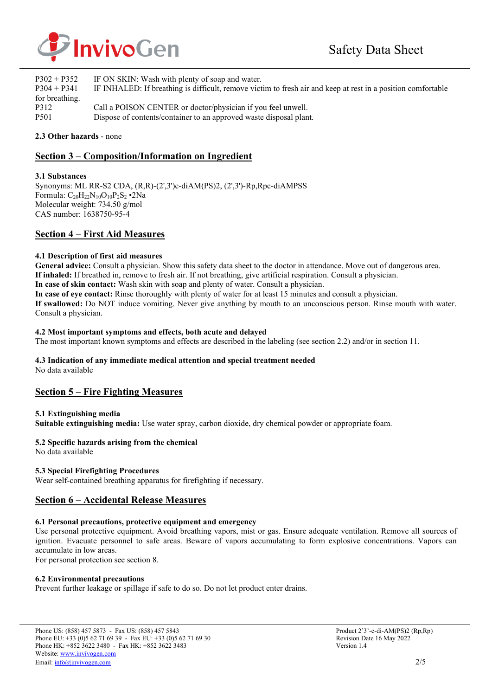

| $P302 + P352$    | IF ON SKIN: Wash with plenty of soap and water.                                                              |
|------------------|--------------------------------------------------------------------------------------------------------------|
| $P304 + P341$    | IF INHALED: If breathing is difficult, remove victim to fresh air and keep at rest in a position comfortable |
| for breathing.   |                                                                                                              |
| P312             | Call a POISON CENTER or doctor/physician if you feel unwell.                                                 |
| P <sub>501</sub> | Dispose of contents/container to an approved waste disposal plant.                                           |

### **2.3 Other hazards** - none

# **Section 3 – Composition/Information on Ingredient**

### **3.1 Substances**

Synonyms: ML RR-S2 CDA, (R,R)-(2',3')c-diAM(PS)2, (2',3')-Rp,Rpc-diAMPSS Formula:  $C_{20}H_{22}N_{10}O_{10}P_2S_2$  •2Na Molecular weight: 734.50 g/mol CAS number: 1638750-95-4

### **Section 4 – First Aid Measures**

### **4.1 Description of first aid measures**

**General advice:** Consult a physician. Show this safety data sheet to the doctor in attendance. Move out of dangerous area. **If inhaled:** If breathed in, remove to fresh air. If not breathing, give artificial respiration. Consult a physician. **In case of skin contact:** Wash skin with soap and plenty of water. Consult a physician. **In case of eye contact:** Rinse thoroughly with plenty of water for at least 15 minutes and consult a physician. **If swallowed:** Do NOT induce vomiting. Never give anything by mouth to an unconscious person. Rinse mouth with water. Consult a physician.

### **4.2 Most important symptoms and effects, both acute and delayed**

The most important known symptoms and effects are described in the labeling (see section 2.2) and/or in section 11.

### **4.3 Indication of any immediate medical attention and special treatment needed**

No data available

### **Section 5 – Fire Fighting Measures**

### **5.1 Extinguishing media**

**Suitable extinguishing media:** Use water spray, carbon dioxide, dry chemical powder or appropriate foam.

### **5.2 Specific hazards arising from the chemical**

No data available

### **5.3 Special Firefighting Procedures**

Wear self-contained breathing apparatus for firefighting if necessary.

### **Section 6 – Accidental Release Measures**

### **6.1 Personal precautions, protective equipment and emergency**

Use personal protective equipment. Avoid breathing vapors, mist or gas. Ensure adequate ventilation. Remove all sources of ignition. Evacuate personnel to safe areas. Beware of vapors accumulating to form explosive concentrations. Vapors can accumulate in low areas.

For personal protection see section 8.

### **6.2 Environmental precautions**

Prevent further leakage or spillage if safe to do so. Do not let product enter drains.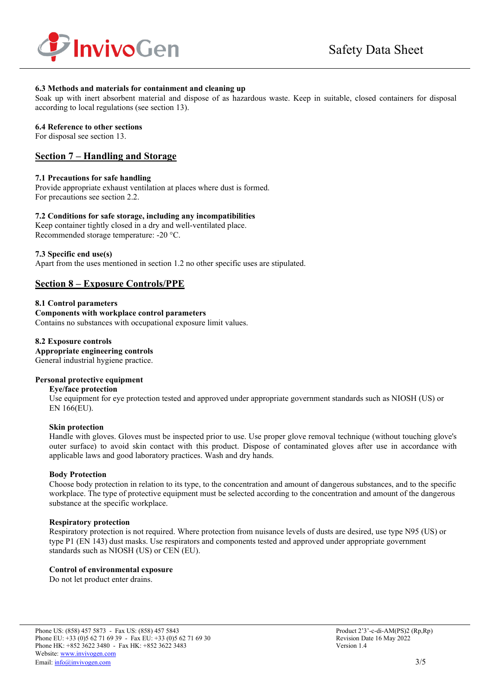

### **6.3 Methods and materials for containment and cleaning up**

Soak up with inert absorbent material and dispose of as hazardous waste. Keep in suitable, closed containers for disposal according to local regulations (see section 13).

#### **6.4 Reference to other sections**

For disposal see section 13.

### **Section 7 – Handling and Storage**

### **7.1 Precautions for safe handling**

Provide appropriate exhaust ventilation at places where dust is formed. For precautions see section 2.2.

### **7.2 Conditions for safe storage, including any incompatibilities**

Keep container tightly closed in a dry and well-ventilated place. Recommended storage temperature: -20 °C.

### **7.3 Specific end use(s)**

Apart from the uses mentioned in section 1.2 no other specific uses are stipulated.

# **Section 8 – Exposure Controls/PPE**

**8.1 Control parameters Components with workplace control parameters**  Contains no substances with occupational exposure limit values.

**8.2 Exposure controls Appropriate engineering controls** General industrial hygiene practice.

### **Personal protective equipment**

#### **Eye/face protection**

Use equipment for eye protection tested and approved under appropriate government standards such as NIOSH (US) or EN 166(EU).

### **Skin protection**

Handle with gloves. Gloves must be inspected prior to use. Use proper glove removal technique (without touching glove's outer surface) to avoid skin contact with this product. Dispose of contaminated gloves after use in accordance with applicable laws and good laboratory practices. Wash and dry hands.

### **Body Protection**

Choose body protection in relation to its type, to the concentration and amount of dangerous substances, and to the specific workplace. The type of protective equipment must be selected according to the concentration and amount of the dangerous substance at the specific workplace.

### **Respiratory protection**

Respiratory protection is not required. Where protection from nuisance levels of dusts are desired, use type N95 (US) or type P1 (EN 143) dust masks. Use respirators and components tested and approved under appropriate government standards such as NIOSH (US) or CEN (EU).

### **Control of environmental exposure**

Do not let product enter drains.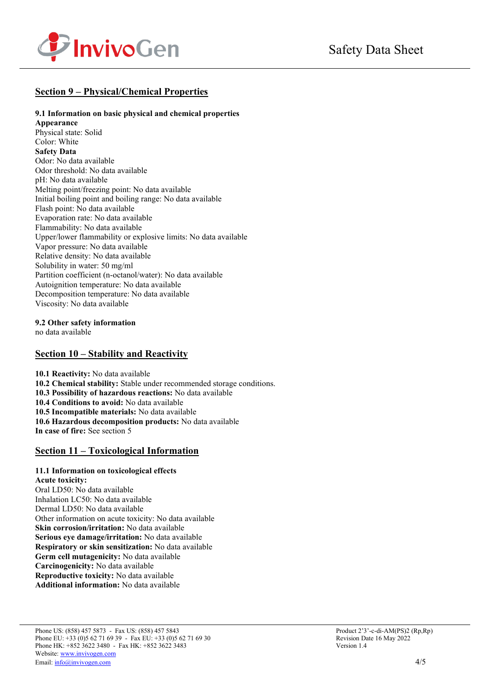

# **Section 9 – Physical/Chemical Properties**

### **9.1 Information on basic physical and chemical properties**

**Appearance** Physical state: Solid Color: White **Safety Data** Odor: No data available Odor threshold: No data available pH: No data available Melting point/freezing point: No data available Initial boiling point and boiling range: No data available Flash point: No data available Evaporation rate: No data available Flammability: No data available Upper/lower flammability or explosive limits: No data available Vapor pressure: No data available Relative density: No data available Solubility in water: 50 mg/ml Partition coefficient (n-octanol/water): No data available Autoignition temperature: No data available Decomposition temperature: No data available Viscosity: No data available

**9.2 Other safety information** 

no data available

# **Section 10 – Stability and Reactivity**

**10.1 Reactivity:** No data available **10.2 Chemical stability:** Stable under recommended storage conditions. **10.3 Possibility of hazardous reactions:** No data available **10.4 Conditions to avoid:** No data available **10.5 Incompatible materials:** No data available **10.6 Hazardous decomposition products:** No data available **In case of fire:** See section 5

# **Section 11 – Toxicological Information**

#### **11.1 Information on toxicological effects Acute toxicity:**

Oral LD50: No data available Inhalation LC50: No data available Dermal LD50: No data available Other information on acute toxicity: No data available **Skin corrosion/irritation:** No data available **Serious eye damage/irritation:** No data available **Respiratory or skin sensitization:** No data available **Germ cell mutagenicity:** No data available **Carcinogenicity:** No data available **Reproductive toxicity:** No data available **Additional information:** No data available